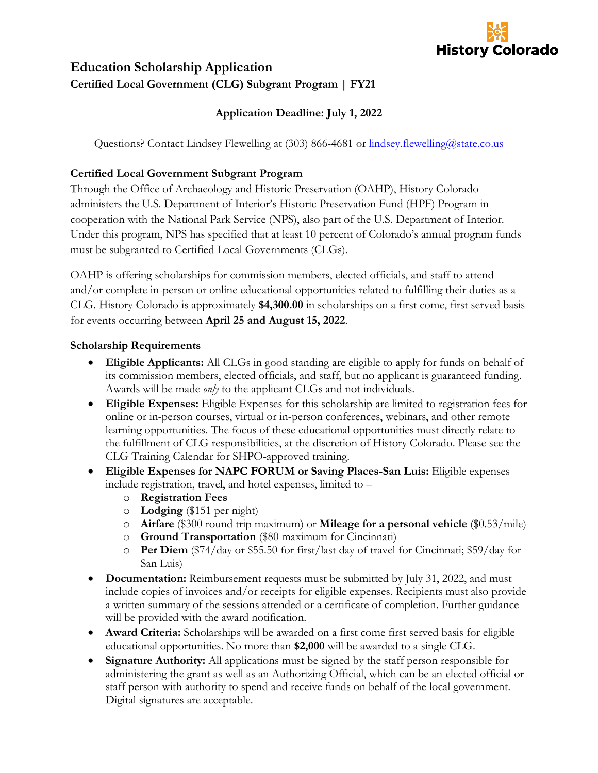

## **Education Scholarship Application Certified Local Government (CLG) Subgrant Program | FY21**

### **Application Deadline: July 1, 2022**

Questions? Contact Lindsey Flewelling at (303) 866-4681 or [lindsey.flewelling@state.co.us](mailto:lindsey.flewelling@state.co.us)

#### **Certified Local Government Subgrant Program**

Through the Office of Archaeology and Historic Preservation (OAHP), History Colorado administers the U.S. Department of Interior's Historic Preservation Fund (HPF) Program in cooperation with the National Park Service (NPS), also part of the U.S. Department of Interior. Under this program, NPS has specified that at least 10 percent of Colorado's annual program funds must be subgranted to Certified Local Governments (CLGs).

OAHP is offering scholarships for commission members, elected officials, and staff to attend and/or complete in-person or online educational opportunities related to fulfilling their duties as a CLG. History Colorado is approximately **\$4,300.00** in scholarships on a first come, first served basis for events occurring between **April 25 and August 15, 2022**.

#### **Scholarship Requirements**

- **Eligible Applicants:** All CLGs in good standing are eligible to apply for funds on behalf of its commission members, elected officials, and staff, but no applicant is guaranteed funding. Awards will be made *only* to the applicant CLGs and not individuals.
- **Eligible Expenses:** Eligible Expenses for this scholarship are limited to registration fees for online or in-person courses, virtual or in-person conferences, webinars, and other remote learning opportunities. The focus of these educational opportunities must directly relate to the fulfillment of CLG responsibilities, at the discretion of History Colorado. Please see the CLG Training Calendar for SHPO-approved training.
- **Eligible Expenses for NAPC FORUM or Saving Places-San Luis:** Eligible expenses include registration, travel, and hotel expenses, limited to –
	- o **Registration Fees**
	- o **Lodging** (\$151 per night)
	- o **Airfare** (\$300 round trip maximum) or **Mileage for a personal vehicle** (\$0.53/mile)
	- o **Ground Transportation** (\$80 maximum for Cincinnati)
	- o **Per Diem** (\$74/day or \$55.50 for first/last day of travel for Cincinnati; \$59/day for San Luis)
- **Documentation:** Reimbursement requests must be submitted by July 31, 2022, and must include copies of invoices and/or receipts for eligible expenses. Recipients must also provide a written summary of the sessions attended or a certificate of completion. Further guidance will be provided with the award notification.
- **Award Criteria:** Scholarships will be awarded on a first come first served basis for eligible educational opportunities. No more than **\$2,000** will be awarded to a single CLG.
- Signature Authority: All applications must be signed by the staff person responsible for administering the grant as well as an Authorizing Official, which can be an elected official or staff person with authority to spend and receive funds on behalf of the local government. Digital signatures are acceptable.